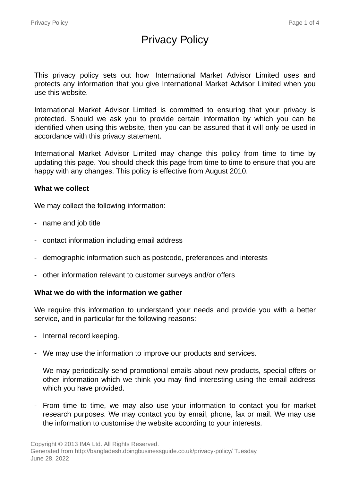# Privacy Policy

This privacy policy sets out how International Market Advisor Limited uses and protects any information that you give International Market Advisor Limited when you use this website.

International Market Advisor Limited is committed to ensuring that your privacy is protected. Should we ask you to provide certain information by which you can be identified when using this website, then you can be assured that it will only be used in accordance with this privacy statement.

International Market Advisor Limited may change this policy from time to time by updating this page. You should check this page from time to time to ensure that you are happy with any changes. This policy is effective from August 2010.

#### **What we collect**

We may collect the following information:

- name and job title
- contact information including email address
- demographic information such as postcode, preferences and interests
- other information relevant to customer surveys and/or offers

#### **What we do with the information we gather**

We require this information to understand your needs and provide you with a better service, and in particular for the following reasons:

- Internal record keeping.
- We may use the information to improve our products and services.
- We may periodically send promotional emails about new products, special offers or other information which we think you may find interesting using the email address which you have provided.
- From time to time, we may also use your information to contact you for market research purposes. We may contact you by email, phone, fax or mail. We may use the information to customise the website according to your interests.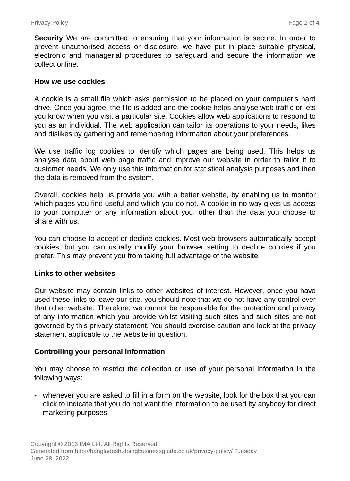**Security** We are committed to ensuring that your information is secure. In order to prevent unauthorised access or disclosure, we have put in place suitable physical, electronic and managerial procedures to safeguard and secure the information we collect online.

#### **How we use cookies**

A cookie is a small file which asks permission to be placed on your computer's hard drive. Once you agree, the file is added and the cookie helps analyse web traffic or lets you know when you visit a particular site. Cookies allow web applications to respond to you as an individual. The web application can tailor its operations to your needs, likes and dislikes by gathering and remembering information about your preferences.

We use traffic log cookies to identify which pages are being used. This helps us analyse data about web page traffic and improve our website in order to tailor it to customer needs. We only use this information for statistical analysis purposes and then the data is removed from the system.

Overall, cookies help us provide you with a better website, by enabling us to monitor which pages you find useful and which you do not. A cookie in no way gives us access to your computer or any information about you, other than the data you choose to share with us.

You can choose to accept or decline cookies. Most web browsers automatically accept cookies, but you can usually modify your browser setting to decline cookies if you prefer. This may prevent you from taking full advantage of the website.

#### **Links to other websites**

Our website may contain links to other websites of interest. However, once you have used these links to leave our site, you should note that we do not have any control over that other website. Therefore, we cannot be responsible for the protection and privacy of any information which you provide whilst visiting such sites and such sites are not governed by this privacy statement. You should exercise caution and look at the privacy statement applicable to the website in question.

#### **Controlling your personal information**

You may choose to restrict the collection or use of your personal information in the following ways:

- whenever you are asked to fill in a form on the website, look for the box that you can click to indicate that you do not want the information to be used by anybody for direct marketing purposes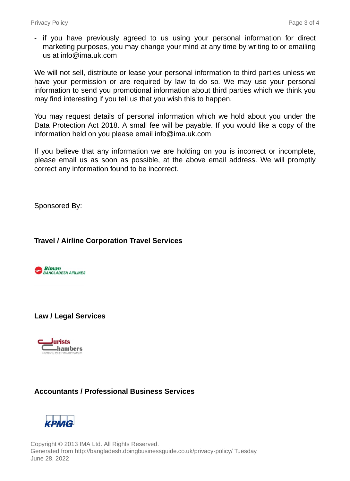- if you have previously agreed to us using your personal information for direct marketing purposes, you may change your mind at any time by writing to or emailing us at info@ima.uk.com

We will not sell, distribute or lease your personal information to third parties unless we have your permission or are required by law to do so. We may use your personal information to send you promotional information about third parties which we think you may find interesting if you tell us that you wish this to happen.

You may request details of personal information which we hold about you under the Data Protection Act 2018. A small fee will be payable. If you would like a copy of the information held on you please email info@ima.uk.com

If you believe that any information we are holding on you is incorrect or incomplete, please email us as soon as possible, at the above email address. We will promptly correct any information found to be incorrect.

Sponsored By:

## **Travel / Airline Corporation Travel Services**



## **Law / Legal Services**



## **Accountants / Professional Business Services**



Copyright © 2013 IMA Ltd. All Rights Reserved. Generated from http://bangladesh.doingbusinessguide.co.uk/privacy-policy/ Tuesday, June 28, 2022